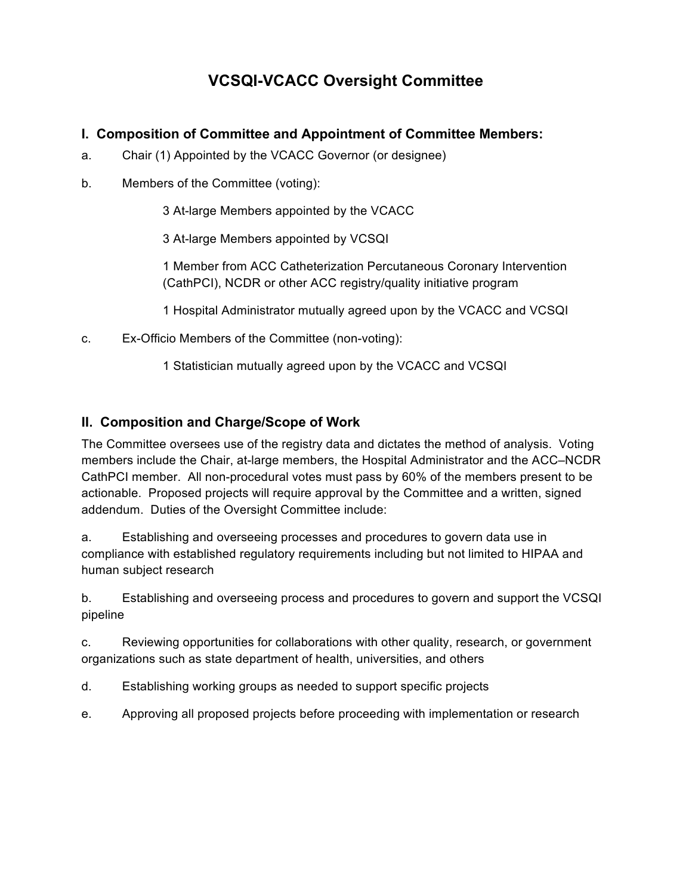# **VCSQI-VCACC Oversight Committee**

## **I. Composition of Committee and Appointment of Committee Members:**

- a. Chair (1) Appointed by the VCACC Governor (or designee)
- b. Members of the Committee (voting):

3 At-large Members appointed by the VCACC

3 At-large Members appointed by VCSQI

1 Member from ACC Catheterization Percutaneous Coronary Intervention (CathPCI), NCDR or other ACC registry/quality initiative program

1 Hospital Administrator mutually agreed upon by the VCACC and VCSQI

c. Ex-Officio Members of the Committee (non-voting):

1 Statistician mutually agreed upon by the VCACC and VCSQI

### **II. Composition and Charge/Scope of Work**

The Committee oversees use of the registry data and dictates the method of analysis. Voting members include the Chair, at-large members, the Hospital Administrator and the ACC–NCDR CathPCI member. All non-procedural votes must pass by 60% of the members present to be actionable. Proposed projects will require approval by the Committee and a written, signed addendum. Duties of the Oversight Committee include:

a. Establishing and overseeing processes and procedures to govern data use in compliance with established regulatory requirements including but not limited to HIPAA and human subject research

b. Establishing and overseeing process and procedures to govern and support the VCSQI pipeline

c. Reviewing opportunities for collaborations with other quality, research, or government organizations such as state department of health, universities, and others

- d. Establishing working groups as needed to support specific projects
- e. Approving all proposed projects before proceeding with implementation or research